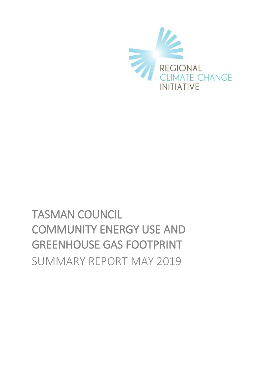

# TASMAN COUNCIL COMMUNITY ENERGY USE AND GREENHOUSE GAS FOOTPRINT SUMMARY REPORT MAY 2019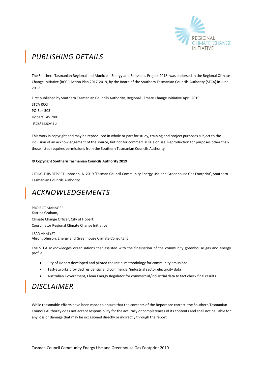

# *PUBLISHING DETAILS*

The Southern Tasmanian Regional and Municipal Energy and Emissions Project 2018, was endorsed in the Regional Climate Change Initiative (RCCI) Action Plan 2017-2019, by the Board of the Southern Tasmanian Councils Authority (STCA) in June 2017.

First published by Southern Tasmanian Councils Authority, Regional Climate Change Initiative April 2019. STCA RCCI PO Box 503 Hobart TAS 7001 stca.tas.gov.au

This work is copyright and may be reproduced in whole or part for study, training and project purposes subject to the inclusion of an acknowledgement of the source, but not for commercial sale or use. Reproduction for purposes other than those listed requires permissions from the Southern Tasmanian Councils Authority.

#### **© Copyright Southern Tasmanian Councils Authority 2019**

CITING THIS REPORT: Johnson, A. 2019 'Tasman Council Community Energy Use and Greenhouse Gas Footprint', Southern Tasmanian Councils Authority

### *ACKNOWLEDGEMENTS*

PROJECT MANAGER Katrina Graham, Climate Change Officer, City of Hobart, Coordinator Regional Climate Change Initiative

LEAD ANALYST Alison Johnson, Energy and Greenhouse Climate Consultant

The STCA acknowledges organisations that assisted with the finalisation of the community greenhouse gas and energy profile:

- City of Hobart developed and piloted the initial methodology for community emissions
- TasNetworks provided residential and commercial/industrial sector electricity data
- Australian Government, Clean Energy Regulator for commercial/industrial data to fact check final results

### *DISCLAIMER*

While reasonable efforts have been made to ensure that the contents of the Report are correct, the Southern Tasmanian Councils Authority does not accept responsibility for the accuracy or completeness of its contents and shall not be liable for any loss or damage that may be occasioned directly or indirectly through the report.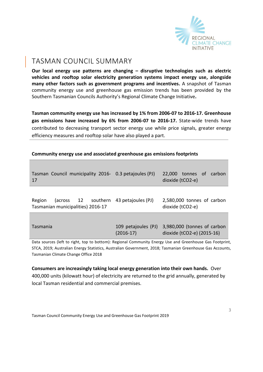

### TASMAN COUNCIL SUMMARY

**Our local energy use patterns are changing – disruptive technologies such as electric vehicles and rooftop solar electricity generation systems impact energy use, alongside many other factors such as government programs and incentives.** A snapshot of Tasman community energy use and greenhouse gas emission trends has been provided by the Southern Tasmanian Councils Authority's Regional Climate Change Initiative**.** 

**Tasman community energy use has increased by 1% from 2006-07 to 2016-17. Greenhouse gas emissions have increased by 6% from 2006-07 to 2016-17.** State-wide trends have contributed to decreasing transport sector energy use while price signals, greater energy efficiency measures and rooftop solar have also played a part.

|  |  | Community energy use and associated greenhouse gas emissions footprints |
|--|--|-------------------------------------------------------------------------|
|--|--|-------------------------------------------------------------------------|

|     |  | Tasman Council municipality 2016- 0.3 petajoules (PJ) 22,000 tonnes of carbon |                  |  |
|-----|--|-------------------------------------------------------------------------------|------------------|--|
| -17 |  |                                                                               | dioxide (tCO2-e) |  |

Region (across 12 southern 43 petajoules (PJ) Tasmanian municipalities) 2016-17 2,580,000 tonnes of carbon dioxide (tCO2-e)

| Tasmania |             | 109 petajoules (PJ) 3,980,000 (tonnes of carbon |
|----------|-------------|-------------------------------------------------|
|          | $(2016-17)$ | dioxide (tCO2-e) (2015-16)                      |

Data sources (left to right, top to bottom): Regional Community Energy Use and Greenhouse Gas Footprint, STCA, 2019; Australian Energy Statistics, Australian Government, 2018; Tasmanian Greenhouse Gas Accounts, Tasmanian Climate Change Office 2018

**Consumers are increasingly taking local energy generation into their own hands.** Over 400,000 units (kilowatt hour) of electricity are returned to the grid annually, generated by local Tasman residential and commercial premises.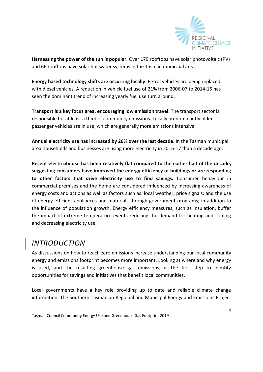

**Harnessing the power of the sun is popular.** Over 179 rooftops have solar photovoltaic (PV) and 66 rooftops have solar hot water systems in the Tasman municipal area.

**Energy based technology shifts are occurring locally**. Petrol vehicles are being replaced with diesel vehicles. A reduction in vehicle fuel use of 21% from 2006-07 to 2014-15 has seen the dominant trend of increasing yearly fuel use turn around.

**Transport is a key focus area, encouraging low emission travel.** The transport sector is responsible for at least a third of community emissions. Locally predominantly older passenger vehicles are in use, which are generally more emissions intensive.

**Annual electricity use has increased by 26% over the last decade**. In the Tasman municipal area households and businesses are using more electricity in 2016-17 than a decade ago.

**Recent electricity use has been relatively flat compared to the earlier half of the decade, suggesting consumers have improved the energy efficiency of buildings or are responding to other factors that drive electricity use to find savings.** Consumer behaviour in commercial premises and the home are considered influenced by increasing awareness of energy costs and actions as well as factors such as: local weather; price signals; and the use of energy efficient appliances and materials through government programs; in addition to the influence of population growth. Energy efficiency measures, such as insulation, buffer the impact of extreme temperature events reducing the demand for heating and cooling and decreasing electricity use.

# *INTRODUCTION*

As discussions on how to reach zero emissions increase understanding our local community energy and emissions footprint becomes more important. Looking at where and why energy is used, and the resulting greenhouse gas emissions, is the first step to identify opportunities for savings and initiatives that benefit local communities.

Local governments have a key role providing up to date and reliable climate change information. The Southern Tasmanian Regional and Municipal Energy and Emissions Project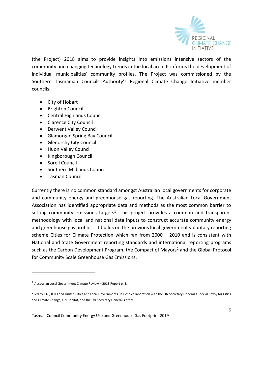

(the Project) 2018 aims to provide insights into emissions intensive sectors of the community and changing technology trends in the local area. It informs the development of individual municipalities' community profiles. The Project was commissioned by the Southern Tasmanian Councils Authority's Regional Climate Change Initiative member councils:

- City of [Hobart](http://www.hobartcity.com.au/)
- [Brighton Council](http://www.brighton.tas.gov.au/)
- [Central Highlands Council](http://www.centralhighlands.tas.gov.au/site/page.cfm)
- [Clarence City Council](http://www.ccc.tas.gov.au/)
- [Derwent Valley Council](http://www.derwentvalley.tas.gov.au/)
- [Glamorgan Spring Bay Council](http://www.gsbc.tas.gov.au/site/page.cfm)
- **•** [Glenorchy City Council](http://www.gcc.tas.gov.au/)
- [Huon Valley Council](http://www.huonvalley.tas.gov.au/)
- [Kingborough Council](http://www.kingborough.tas.gov.au/)
- [Sorell Council](http://www.sorell.tas.gov.au/)
- [Southern Midlands Council](http://www.southernmidlands.tas.gov.au/site/page.cfm)
- [Tasman Council](http://www.tasman.tas.gov.au/site/page.cfm)

-

Currently there is no common standard amongst Australian local governments for corporate and community energy and greenhouse gas reporting. The Australian Local Government Association has identified appropriate data and methods as the most common barrier to setting community emissions targets<sup>1</sup>. This project provides a common and transparent methodology with local and national data inputs to construct accurate community energy and greenhouse gas profiles. It builds on the previous local government voluntary reporting scheme Cities for Climate Protection which ran from 2000 – 2010 and is consistent with National and State Government reporting standards and international reporting programs such as the Carbon Development Program, the Compact of Mayors<sup>2</sup> and the Global Protocol for Community Scale Greenhouse Gas Emissions.

 $1$  Australian Local Government Climate Review – 2018 Report p. 3.

 $^2$  led by C40, ICLEI and United Cities and Local Governments, in close collaboration with the UN Secretary General's Special Envoy for Cities and Climate Change, UN Habitat, and the UN Secretary General's office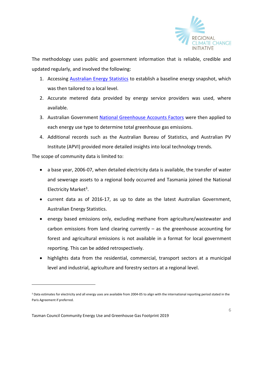

The methodology uses public and government information that is reliable, credible and updated regularly, and involved the following:

- 1. Accessing [Australian Energy Statistics](https://industry.gov.au/Office-of-the-Chief-Economist/Publications/Pages/Australian-energy-statistics.aspx) to establish a baseline energy snapshot, which was then tailored to a local level.
- 2. Accurate metered data provided by energy service providers was used, where available.
- 3. Australian Government [National Greenhouse Accounts Factors](http://www.environment.gov.au/climate-change/climate-science-data/greenhouse-gas-measurement/publications/national-greenhouse-accounts-factors-july-2017) were then applied to each energy use type to determine total greenhouse gas emissions.
- 4. Additional records such as the Australian Bureau of Statistics, and Australian PV Institute (APVI) provided more detailed insights into local technology trends.

The scope of community data is limited to:

- a base year, 2006-07, when detailed electricity data is available, the transfer of water and sewerage assets to a regional body occurred and Tasmania joined the National Electricity Market<sup>3</sup>.
- current data as of 2016-17, as up to date as the latest Australian Government, Australian Energy Statistics.
- energy based emissions only, excluding methane from agriculture/wastewater and carbon emissions from land clearing currently  $-$  as the greenhouse accounting for forest and agricultural emissions is not available in a format for local government reporting. This can be added retrospectively.
- highlights data from the residential, commercial, transport sectors at a municipal level and industrial, agriculture and forestry sectors at a regional level.

<sup>&</sup>lt;sup>3</sup> Data estimates for electricity and all energy uses are available from 2004-05 to align with the international reporting period stated in the Paris Agreement if preferred.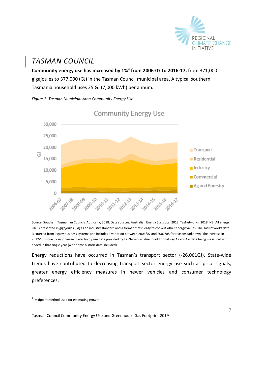

# *TASMAN COUNCIL*

**Community energy use has increased by 1%<sup>4</sup> from 2006-07 to 2016-17,** from 371,000 gigajoules to 377,000 (GJ) in the Tasman Council municipal area. A typical southern Tasmania household uses 25 GJ (7,000 kWh) per annum.

*Figure 1: Tasman Municipal Area Community Energy Use.* 



**Community Energy Use** 

Source: Southern Tasmanian Councils Authority, 2018. Data sources: Australian Energy Statistics, 2018, TasNetworks, 2018. NB: All energy use is presented in gigajoules (GJ) as an industry standard and a format that is easy to convert other energy values. The TasNetworks data is sourced from legacy business systems and includes a variation between 2006/07 and 2007/08 for reasons unknown. The increase in 2012-13 is due to an increase in electricity use data provided by TasNetworks, due to additional Pay As You Go data being measured and added in that single year (with some historic data included).

Energy reductions have occurred in Tasman's transport sector (-26,061GJ). State-wide trends have contributed to decreasing transport sector energy use such as price signals, greater energy efficiency measures in newer vehicles and consumer technology preferences.

-

<sup>4</sup> Midpoint method used for estimating growth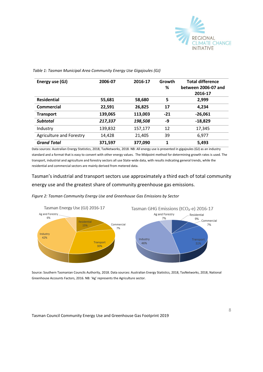

| Energy use (GJ)          | 2006-07 | 2016-17 | Growth<br>% | <b>Total difference</b><br>between 2006-07 and |
|--------------------------|---------|---------|-------------|------------------------------------------------|
|                          |         |         |             |                                                |
|                          |         |         |             | 2016-17                                        |
| <b>Residential</b>       | 55,681  | 58,680  | 5           | 2,999                                          |
| Commercial               | 22,591  | 26,825  | 17          | 4,234                                          |
| <b>Transport</b>         | 139,065 | 113,003 | $-21$       | $-26,061$                                      |
| <b>Subtotal</b>          | 217,337 | 198,508 | -9          | $-18,829$                                      |
| Industry                 | 139,832 | 157,177 | 12          | 17,345                                         |
| Agriculture and Forestry | 14,428  | 21,405  | 39          | 6,977                                          |
| <b>Grand Total</b>       | 371,597 | 377,090 | 1           | 5,493                                          |

*Table 1: Tasman Municipal Area Community Energy Use Gigajoules (GJ)*

Data sources: Australian Energy Statistics, 2018, TasNetworks, 2018. NB: All energy use is presented in gigajoules (GJ) as an industry standard and a format that is easy to convert with other energy values. The Midpoint method for determining growth rates is used. The transport, industrial and agriculture and forestry sectors all use State-wide data, with results indicating general trends, while the residential and commercial sectors are mainly derived from metered data.

Tasman's industrial and transport sectors use approximately a third each of total community energy use and the greatest share of community greenhouse gas emissions.

*Figure 2: Tasman Community Energy Use and Greenhouse Gas Emissions by Sector*



Source: Southern Tasmanian Councils Authority, 2018. Data sources: Australian Energy Statistics, 2018, TasNetworks, 2018, National Greenhouse Accounts Factors, 2016. NB: 'Ag' represents the Agriculture sector.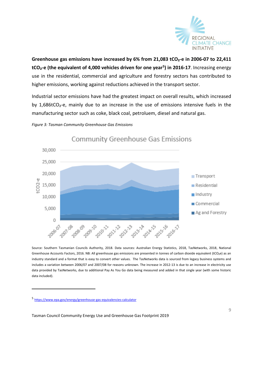

**Greenhouse gas emissions have increased by 6% from 21,083 tCO₂-e in 2006-07 to 22,411 tCO₂-e (the equivalent of 4,000 vehicles driven for one year<sup>5</sup> ) in 2016-17**. Increasing energy use in the residential, commercial and agriculture and forestry sectors has contributed to higher emissions, working against reductions achieved in the transport sector.

Industrial sector emissions have had the greatest impact on overall results, which increased by 1,686tCO<sub>2</sub>-e, mainly due to an increase in the use of emissions intensive fuels in the manufacturing sector such as coke, black coal, petroluem, diesel and natural gas.

#### *Figure 3: Tasman Community Greenhouse Gas Emissions*



Source: Southern Tasmanian Councils Authority, 2018. Data sources: Australian Energy Statistics, 2018, TasNetworks, 2018, National Greenhouse Accounts Factors, 2016. NB: All greenhouse gas emissions are presented in tonnes of carbon dioxide equivalent (tCO₂e) as an industry standard and a format that is easy to convert other values.The TasNetworks data is sourced from legacy business systems and includes a variation between 2006/07 and 2007/08 for reasons unknown. The increase in 2012-13 is due to an increase in electricity use data provided by TasNetworks, due to additional Pay As You Go data being measured and added in that single year (with some historic data included).

-

<sup>5</sup> <https://www.epa.gov/energy/greenhouse-gas-equivalencies-calculator>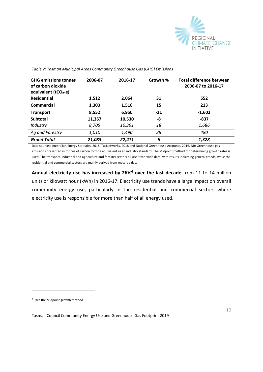

| <b>GHG emissions tonnes</b><br>of carbon dioxide<br>equivalent (tCO <sub>2</sub> -e) | 2006-07 | 2016-17 | Growth % | Total difference between<br>2006-07 to 2016-17 |
|--------------------------------------------------------------------------------------|---------|---------|----------|------------------------------------------------|
| <b>Residential</b>                                                                   | 1,512   | 2,064   | 31       | 552                                            |
| Commercial                                                                           | 1,303   | 1,516   | 15       | 213                                            |
| <b>Transport</b>                                                                     | 8,552   | 6,950   | $-21$    | $-1,602$                                       |
| <b>Subtotal</b>                                                                      | 11,367  | 10,530  | -8       | -837                                           |
| Industry                                                                             | 8,705   | 10,391  | 18       | 1,686                                          |
| Ag and Forestry                                                                      | 1,010   | 1,490   | 38       | 480                                            |
| <b>Grand Total</b>                                                                   | 21,083  | 22,411  | 6        | 1,328                                          |

*Table 2: Tasman Municipal Areas Community Greenhouse Gas (GHG) Emissions*

Data sources: Australian Energy Statistics, 2018, TasNetworks, 2018 and National Greenhouse Accounts, 2016. NB: Greenhouse gas emissions presented in tonnes of carbon dioxide equivalent as an industry standard. The Midpoint method for determining growth rates is used. The transport, industrial and agriculture and forestry sectors all use State-wide data, with results indicating general trends, while the residential and commercial sectors are mainly derived from metered data.

**Annual electricity use has increased by 26%**<sup>6</sup> **over the last decade** from 11 to 14 million units or kilowatt hour (kWh) in 2016-17. Electricity use trends have a large impact on overall community energy use, particularly in the residential and commercial sectors where electricity use is responsible for more than half of all energy used.

6Uses the Midpoint growth method

-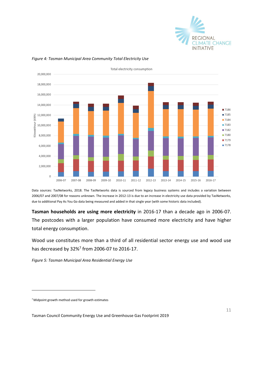



#### *Figure 4: Tasman Municipal Area Community Total Electricity Use*

Data sources: TasNetworks, 2018. The TasNetworks data is sourced from legacy business systems and includes a variation between 2006/07 and 2007/08 for reasons unknown. The increase in 2012-13 is due to an increase in electricity use data provided by TasNetworks, due to additional Pay As You Go data being measured and added in that single year (with some historic data included).

**Tasman households are using more electricity** in 2016-17 than a decade ago in 2006-07. The postcodes with a larger population have consumed more electricity and have higher total energy consumption.

Wood use constitutes more than a third of all residential sector energy use and wood use has decreased by 32%<sup>7</sup> from 2006-07 to 2016-17.

*Figure 5: Tasman Municipal Area Residential Energy Use*

<sup>7</sup> Midpoint growth method used for growth estimates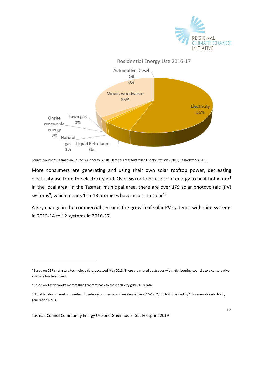



Source: Southern Tasmanian Councils Authority, 2018. Data sources: Australian Energy Statistics, 2018, TasNetworks, 2018

More consumers are generating and using their own solar rooftop power, decreasing electricity use from the electricity grid. Over 66 rooftops use solar energy to heat hot water<sup>8</sup> in the local area. In the Tasman municipal area, there are over 179 solar photovoltaic (PV) systems<sup>9</sup>, which means 1-in-13 premises have access to solar<sup>10</sup>.

A key change in the commercial sector is the growth of solar PV systems, with nine systems in 2013-14 to 12 systems in 2016-17.

<sup>8</sup> Based on CER small scale technology data, accessed May 2018. There are shared postcodes with neighbouring councils so a conservative estimate has been used.

<sup>&</sup>lt;sup>9</sup> Based on TasNetworks meters that generate back to the electricity grid, 2018 data.

<sup>10</sup> Total buildings based on number of meters (commercial and residential) in 2016-17, 2,468 NMIs divided by 179 renewable electricity generation NMIs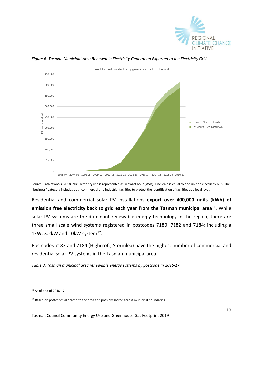



*Figure 6: Tasman Municipal Area Renewable Electricity Generation Exported to the Electricity Grid*

Source: TasNetworks, 2018. NB: Electricity use is represented as kilowatt hour (kWh). One kWh is equal to one unit on electricity bills. The "business" category includes both commercial and industrial facilities to protect the identification of facilities at a local level.

Residential and commercial solar PV installations **export over 400,000 units (kWh) of**  emission free electricity back to grid each year from the Tasman municipal area<sup>11</sup>. While solar PV systems are the dominant renewable energy technology in the region, there are three small scale wind systems registered in postcodes 7180, 7182 and 7184; including a 1kW, 3.2kW and 10kW system $^{12}$ .

Postcodes 7183 and 7184 (Highcroft, Stormlea) have the highest number of commercial and residential solar PV systems in the Tasman municipal area.

*Table 3: Tasman municipal area renewable energy systems by postcode in 2016-17*

-

<sup>11</sup> As of end of 2016-17

<sup>&</sup>lt;sup>12</sup> Based on postcodes allocated to the area and possibly shared across municipal boundaries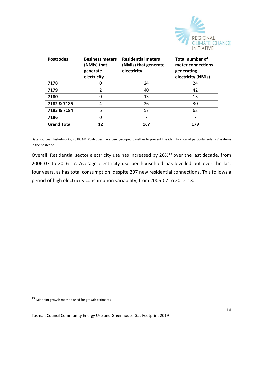

| <b>Postcodes</b>   | <b>Business meters</b><br>(NMIs) that<br>generate<br>electricity | <b>Residential meters</b><br>(NMIs) that generate<br>electricity | <b>Total number of</b><br>meter connections<br>generating<br>electricity (NMIs) |
|--------------------|------------------------------------------------------------------|------------------------------------------------------------------|---------------------------------------------------------------------------------|
| 7178               | U                                                                | 24                                                               | 24                                                                              |
| 7179               | 2                                                                | 40                                                               | 42                                                                              |
| 7180               | 0                                                                | 13                                                               | 13                                                                              |
| 7182 & 7185        | 4                                                                | 26                                                               | 30                                                                              |
| 7183 & 7184        | 6                                                                | 57                                                               | 63                                                                              |
| 7186               | 0                                                                | 7                                                                | 7                                                                               |
| <b>Grand Total</b> | 12                                                               | 167                                                              | 179                                                                             |

Data sources: TasNetworks, 2018. NB: Postcodes have been grouped together to prevent the identification of particular solar PV systems in the postcode.

Overall, Residential sector electricity use has increased by 26%<sup>13</sup> over the last decade, from 2006-07 to 2016-17. Average electricity use per household has levelled out over the last four years, as has total consumption, despite 297 new residential connections. This follows a period of high electricity consumption variability, from 2006-07 to 2012-13.

-

<sup>13</sup> Midpoint growth method used for growth estimates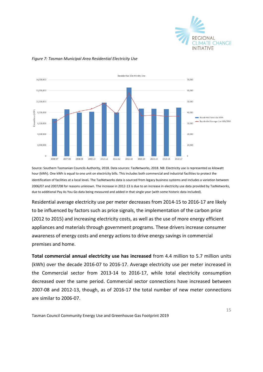



#### *Figure 7: Tasman Municipal Area Residential Electricity Use*

Source: Southern Tasmanian Councils Authority, 2018. Data sources: TasNetworks, 2018. NB: Electricity use is represented as kilowatt hour (kWh). One kWh is equal to one unit on electricity bills. This includes both commercial and industrial facilities to protect the identification of facilities at a local level*.* The TasNetworks data is sourced from legacy business systems and includes a variation between 2006/07 and 2007/08 for reasons unknown. The increase in 2012-13 is due to an increase in electricity use data provided by TasNetworks, due to additional Pay As You Go data being measured and added in that single year (with some historic data included).

Residential average electricity use per meter decreases from 2014-15 to 2016-17 are likely to be influenced by factors such as price signals, the implementation of the carbon price (2012 to 2015) and increasing electricity costs, as well as the use of more energy efficient appliances and materials through government programs. These drivers increase consumer awareness of energy costs and energy actions to drive energy savings in commercial premises and home.

**Total commercial annual electricity use has increased** from 4.4 million to 5.7 million units (kWh) over the decade 2016-07 to 2016-17. Average electricity use per meter increased in the Commercial sector from 2013-14 to 2016-17, while total electricity consumption decreased over the same period. Commercial sector connections have increased between 2007-08 and 2012-13, though, as of 2016-17 the total number of new meter connections are similar to 2006-07.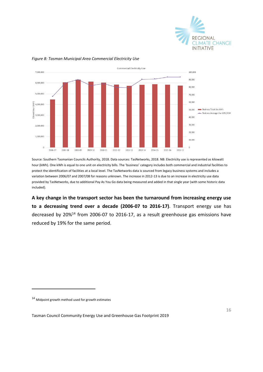



#### *Figure 8: Tasman Municipal Area Commercial Electricity Use*

Source: Southern Tasmanian Councils Authority, 2018. Data sources: TasNetworks, 2018. NB: Electricity use is represented as kilowatt hour (kWh). One kWh is equal to one unit on electricity bills. The 'business' category includes both commercial and industrial facilities to protect the identification of facilities at a local level. The TasNetworks data is sourced from legacy business systems and includes a variation between 2006/07 and 2007/08 for reasons unknown. The increase in 2012-13 is due to an increase in electricity use data provided by TasNetworks, due to additional Pay As You Go data being measured and added in that single year (with some historic data included).

**A key change in the transport sector has been the turnaround from increasing energy use to a decreasing trend over a decade (2006-07 to 2016-17)**. Transport energy use has decreased by 20%<sup>14</sup> from 2006-07 to 2016-17, as a result greenhouse gas emissions have reduced by 19% for the same period.

-

<sup>14</sup> Midpoint growth method used for growth estimates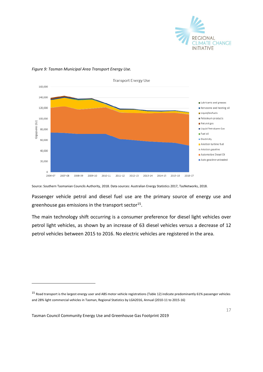



*Figure 9: Tasman Municipal Area Transport Energy Use.* 

Source: Southern Tasmanian Councils Authority, 2018. Data sources: Australian Energy Statistics 2017, TasNetworks, 2018.

Passenger vehicle petrol and diesel fuel use are the primary source of energy use and greenhouse gas emissions in the transport sector<sup>15</sup>.

The main technology shift occurring is a consumer preference for diesel light vehicles over petrol light vehicles, as shown by an increase of 63 diesel vehicles versus a decrease of 12 petrol vehicles between 2015 to 2016. No electric vehicles are registered in the area.

Tasman Council Community Energy Use and Greenhouse Gas Footprint 2019

<sup>15</sup> Road transport is the largest energy user and ABS motor vehicle registrations (Table 12) indicate predominantly 61% passenger vehicles and 28% light commercial vehicles in Tasman, Regional Statistics by LGA2016, Annual (2010-11 to 2015-16)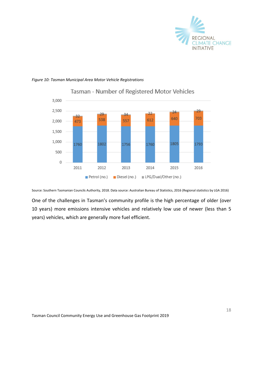

#### *Figure 10: Tasman Municipal Area Motor Vehicle Registrations*



### Tasman - Number of Registered Motor Vehicles

Source: Southern Tasmanian Councils Authority, 2018. Data source: Australian Bureau of Statistics, 2016 (Regional statistics by LGA 2016)

One of the challenges in Tasman's community profile is the high percentage of older (over 10 years) more emissions intensive vehicles and relatively low use of newer (less than 5 years) vehicles, which are generally more fuel efficient.